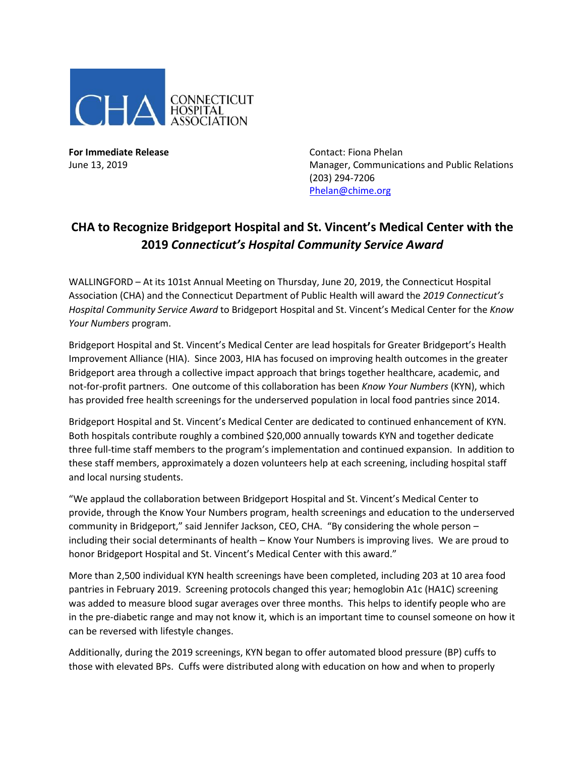

**For Immediate Release Contact: Fiona Phelan** 

June 13, 2019 Manager, Communications and Public Relations (203) 294-7206 [Phelan@chime.org](mailto:Phelan@chime.org)

## **CHA to Recognize Bridgeport Hospital and St. Vincent's Medical Center with the 2019** *Connecticut's Hospital Community Service Award*

WALLINGFORD – At its 101st Annual Meeting on Thursday, June 20, 2019, the Connecticut Hospital Association (CHA) and the Connecticut Department of Public Health will award the *2019 Connecticut's Hospital Community Service Award* to Bridgeport Hospital and St. Vincent's Medical Center for the *Know Your Numbers* program.

Bridgeport Hospital and St. Vincent's Medical Center are lead hospitals for Greater Bridgeport's Health Improvement Alliance (HIA). Since 2003, HIA has focused on improving health outcomes in the greater Bridgeport area through a collective impact approach that brings together healthcare, academic, and not-for-profit partners. One outcome of this collaboration has been *Know Your Numbers* (KYN), which has provided free health screenings for the underserved population in local food pantries since 2014.

Bridgeport Hospital and St. Vincent's Medical Center are dedicated to continued enhancement of KYN. Both hospitals contribute roughly a combined \$20,000 annually towards KYN and together dedicate three full-time staff members to the program's implementation and continued expansion. In addition to these staff members, approximately a dozen volunteers help at each screening, including hospital staff and local nursing students.

"We applaud the collaboration between Bridgeport Hospital and St. Vincent's Medical Center to provide, through the Know Your Numbers program, health screenings and education to the underserved community in Bridgeport," said Jennifer Jackson, CEO, CHA. "By considering the whole person – including their social determinants of health – Know Your Numbers is improving lives. We are proud to honor Bridgeport Hospital and St. Vincent's Medical Center with this award."

More than 2,500 individual KYN health screenings have been completed, including 203 at 10 area food pantries in February 2019. Screening protocols changed this year; hemoglobin A1c (HA1C) screening was added to measure blood sugar averages over three months. This helps to identify people who are in the pre-diabetic range and may not know it, which is an important time to counsel someone on how it can be reversed with lifestyle changes.

Additionally, during the 2019 screenings, KYN began to offer automated blood pressure (BP) cuffs to those with elevated BPs. Cuffs were distributed along with education on how and when to properly